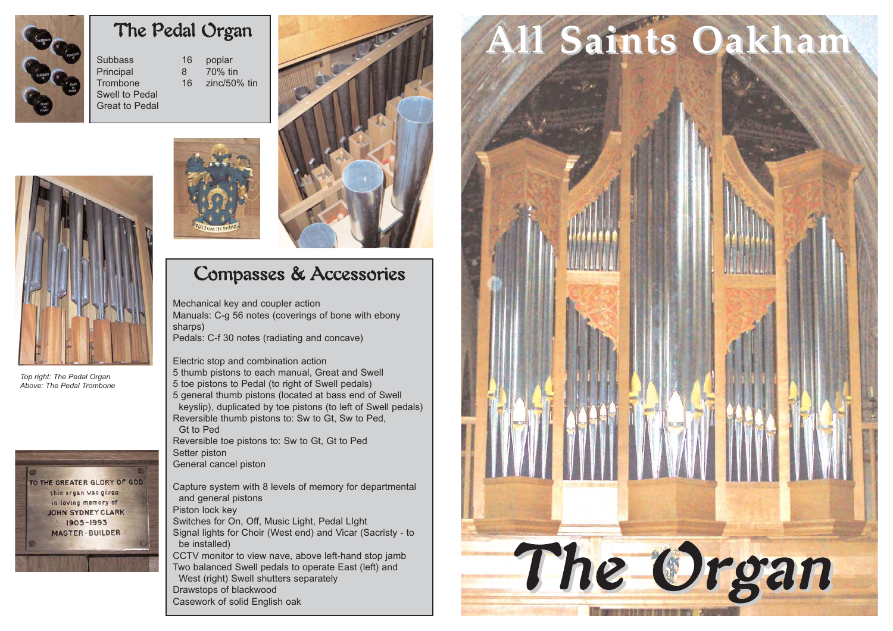

*Top right: The Pedal Organ Above: The Pedal Trombone*

TO THE GREATER GLORY OF GOD this organ was given in loving memory of **JOHN SYDNEY CLARK** 1905-1993 **MASTER-BUILDER** 

## The Pedal Organ

Subbass 16 poplar<br>Principal 16 70% fin Principal 8 Trombone 16 zinc/50% tin Swell to Pedal Great to Pedal







## Compasses & Accessories

Mechanical key and coupler action Manuals: C-g 56 notes (coverings of bone with ebony sharps) Pedals: C-f 30 notes (radiating and concave)

Electric stop and combination action 5 thumb pistons to each manual, Great and Swell 5 toe pistons to Pedal (to right of Swell pedals) 5 general thumb pistons (located at bass end of Swell keyslip), duplicated by toe pistons (to left of Swell pedals) Reversible thumb pistons to: Sw to Gt, Sw to Ped, Gt to Ped Reversible toe pistons to: Sw to Gt, Gt to Ped Setter piston General cancel piston

Capture system with 8 levels of memory for departmental and general pistons Piston lock key Switches for On, Off, Music Light, Pedal LIght Signal lights for Choir (West end) and Vicar (Sacristy - to be installed) CCTV monitor to view nave, above left-hand stop jamb Two balanced Swell pedals to operate East (left) and West (right) Swell shutters separately Drawstops of blackwood

```
Casework of solid English oak
```